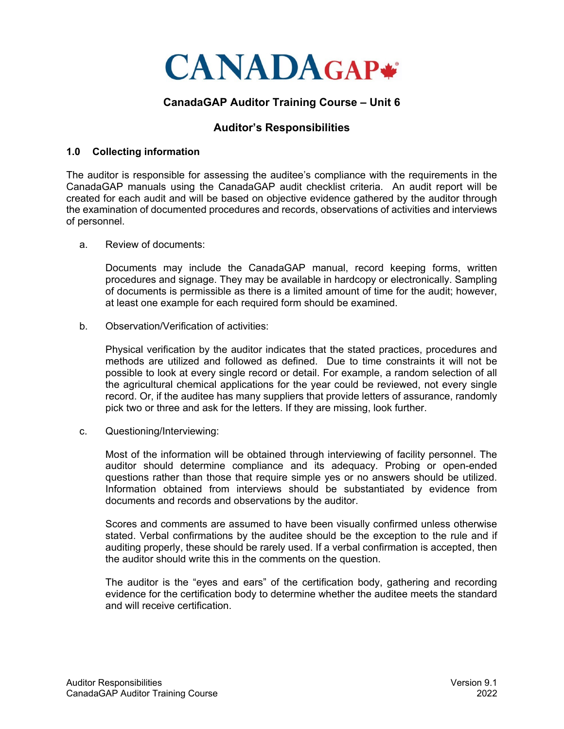

# **CanadaGAP Auditor Training Course – Unit 6**

## **Auditor's Responsibilities**

#### **1.0 Collecting information**

The auditor is responsible for assessing the auditee's compliance with the requirements in the CanadaGAP manuals using the CanadaGAP audit checklist criteria. An audit report will be created for each audit and will be based on objective evidence gathered by the auditor through the examination of documented procedures and records, observations of activities and interviews of personnel.

a. Review of documents:

Documents may include the CanadaGAP manual, record keeping forms, written procedures and signage. They may be available in hardcopy or electronically. Sampling of documents is permissible as there is a limited amount of time for the audit; however, at least one example for each required form should be examined.

b. Observation/Verification of activities:

Physical verification by the auditor indicates that the stated practices, procedures and methods are utilized and followed as defined. Due to time constraints it will not be possible to look at every single record or detail. For example, a random selection of all the agricultural chemical applications for the year could be reviewed, not every single record. Or, if the auditee has many suppliers that provide letters of assurance, randomly pick two or three and ask for the letters. If they are missing, look further.

c. Questioning/Interviewing:

Most of the information will be obtained through interviewing of facility personnel. The auditor should determine compliance and its adequacy. Probing or open-ended questions rather than those that require simple yes or no answers should be utilized. Information obtained from interviews should be substantiated by evidence from documents and records and observations by the auditor.

Scores and comments are assumed to have been visually confirmed unless otherwise stated. Verbal confirmations by the auditee should be the exception to the rule and if auditing properly, these should be rarely used. If a verbal confirmation is accepted, then the auditor should write this in the comments on the question.

The auditor is the "eyes and ears" of the certification body, gathering and recording evidence for the certification body to determine whether the auditee meets the standard and will receive certification.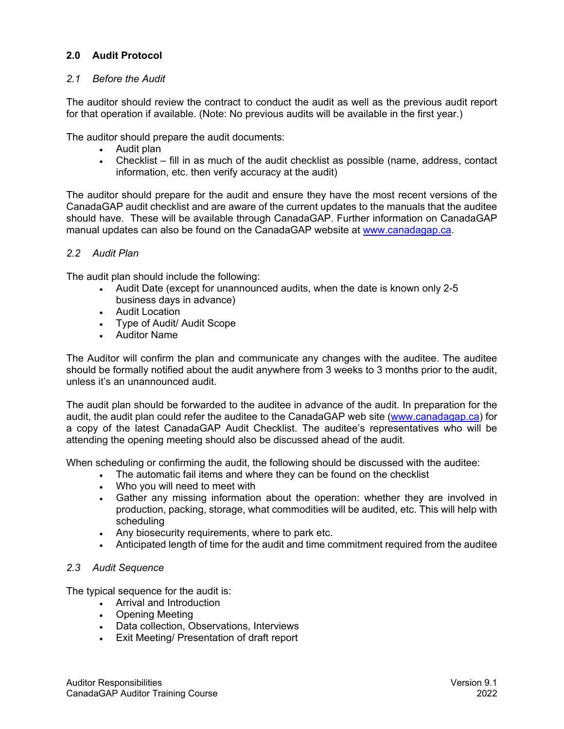## **2.0 Audit Protocol**

#### *2.1 Before the Audit*

The auditor should review the contract to conduct the audit as well as the previous audit report for that operation if available. (Note: No previous audits will be available in the first year.)

The auditor should prepare the audit documents:

- Audit plan
- Checklist fill in as much of the audit checklist as possible (name, address, contact information, etc. then verify accuracy at the audit)

The auditor should prepare for the audit and ensure they have the most recent versions of the CanadaGAP audit checklist and are aware of the current updates to the manuals that the auditee should have. These will be available through CanadaGAP. Further information on CanadaGAP manual updates can also be found on the CanadaGAP website at [www.canadagap.ca.](https://www.canadagap.ca/)

#### *2.2 Audit Plan*

The audit plan should include the following:

- Audit Date (except for unannounced audits, when the date is known only 2-5 business days in advance)
- Audit Location
- Type of Audit/ Audit Scope
- Auditor Name

The Auditor will confirm the plan and communicate any changes with the auditee. The auditee should be formally notified about the audit anywhere from 3 weeks to 3 months prior to the audit, unless it's an unannounced audit.

The audit plan should be forwarded to the auditee in advance of the audit. In preparation for the audit, the audit plan could refer the auditee to the CanadaGAP web site [\(www.canadagap.ca\)](https://www.canadagap.ca/) for a copy of the latest CanadaGAP Audit Checklist. The auditee's representatives who will be attending the opening meeting should also be discussed ahead of the audit.

When scheduling or confirming the audit, the following should be discussed with the auditee:

- The automatic fail items and where they can be found on the checklist
- Who you will need to meet with
- Gather any missing information about the operation: whether they are involved in production, packing, storage, what commodities will be audited, etc. This will help with scheduling
- Any biosecurity requirements, where to park etc.
- Anticipated length of time for the audit and time commitment required from the auditee

#### *2.3 Audit Sequence*

The typical sequence for the audit is:

- Arrival and Introduction
- Opening Meeting
- Data collection, Observations, Interviews
- Exit Meeting/ Presentation of draft report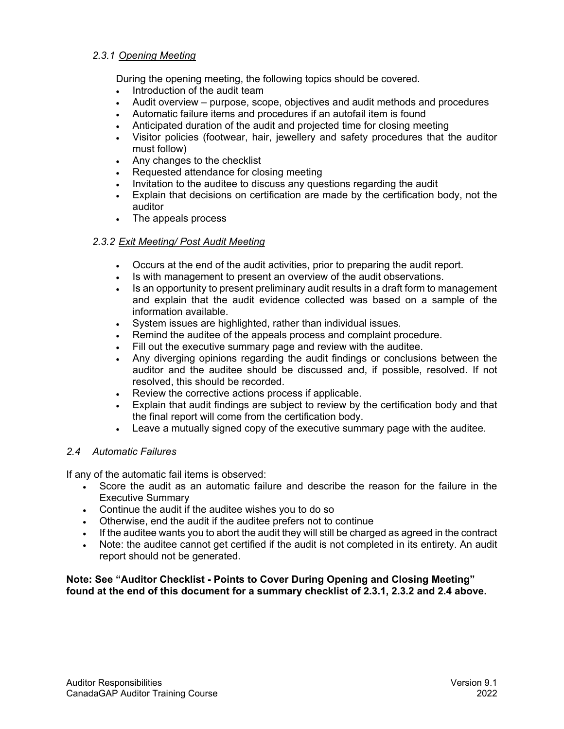### *2.3.1 Opening Meeting*

During the opening meeting, the following topics should be covered.

- Introduction of the audit team
- Audit overview purpose, scope, objectives and audit methods and procedures
- Automatic failure items and procedures if an autofail item is found
- Anticipated duration of the audit and projected time for closing meeting
- Visitor policies (footwear, hair, jewellery and safety procedures that the auditor must follow)
- Any changes to the checklist
- Requested attendance for closing meeting
- Invitation to the auditee to discuss any questions regarding the audit
- Explain that decisions on certification are made by the certification body, not the auditor
- The appeals process

### *2.3.2 Exit Meeting/ Post Audit Meeting*

- Occurs at the end of the audit activities, prior to preparing the audit report.
- Is with management to present an overview of the audit observations.
- Is an opportunity to present preliminary audit results in a draft form to management and explain that the audit evidence collected was based on a sample of the information available.
- System issues are highlighted, rather than individual issues.
- Remind the auditee of the appeals process and complaint procedure.
- Fill out the executive summary page and review with the auditee.
- Any diverging opinions regarding the audit findings or conclusions between the auditor and the auditee should be discussed and, if possible, resolved. If not resolved, this should be recorded.
- Review the corrective actions process if applicable.
- Explain that audit findings are subject to review by the certification body and that the final report will come from the certification body.
- Leave a mutually signed copy of the executive summary page with the auditee.

## *2.4 Automatic Failures*

If any of the automatic fail items is observed:

- Score the audit as an automatic failure and describe the reason for the failure in the Executive Summary
- Continue the audit if the auditee wishes you to do so
- Otherwise, end the audit if the auditee prefers not to continue
- If the auditee wants you to abort the audit they will still be charged as agreed in the contract
- Note: the auditee cannot get certified if the audit is not completed in its entirety. An audit report should not be generated.

#### **Note: See "Auditor Checklist - Points to Cover During Opening and Closing Meeting" found at the end of this document for a summary checklist of 2.3.1, 2.3.2 and 2.4 above.**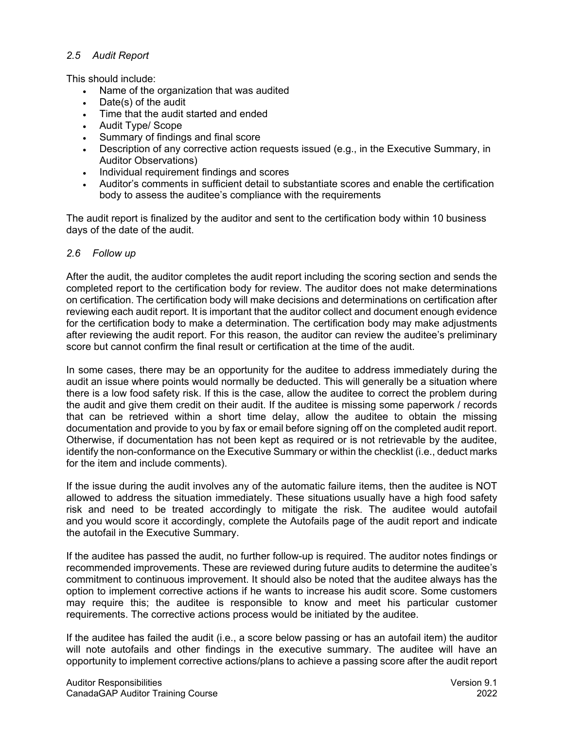#### *2.5 Audit Report*

This should include:

- Name of the organization that was audited
- Date(s) of the audit
- Time that the audit started and ended
- Audit Type/ Scope
- Summary of findings and final score
- Description of any corrective action requests issued (e.g., in the Executive Summary, in Auditor Observations)
- Individual requirement findings and scores
- Auditor's comments in sufficient detail to substantiate scores and enable the certification body to assess the auditee's compliance with the requirements

The audit report is finalized by the auditor and sent to the certification body within 10 business days of the date of the audit.

#### *2.6 Follow up*

After the audit, the auditor completes the audit report including the scoring section and sends the completed report to the certification body for review. The auditor does not make determinations on certification. The certification body will make decisions and determinations on certification after reviewing each audit report. It is important that the auditor collect and document enough evidence for the certification body to make a determination. The certification body may make adjustments after reviewing the audit report. For this reason, the auditor can review the auditee's preliminary score but cannot confirm the final result or certification at the time of the audit.

In some cases, there may be an opportunity for the auditee to address immediately during the audit an issue where points would normally be deducted. This will generally be a situation where there is a low food safety risk. If this is the case, allow the auditee to correct the problem during the audit and give them credit on their audit. If the auditee is missing some paperwork / records that can be retrieved within a short time delay, allow the auditee to obtain the missing documentation and provide to you by fax or email before signing off on the completed audit report. Otherwise, if documentation has not been kept as required or is not retrievable by the auditee, identify the non-conformance on the Executive Summary or within the checklist (i.e., deduct marks for the item and include comments).

If the issue during the audit involves any of the automatic failure items, then the auditee is NOT allowed to address the situation immediately. These situations usually have a high food safety risk and need to be treated accordingly to mitigate the risk. The auditee would autofail and you would score it accordingly, complete the Autofails page of the audit report and indicate the autofail in the Executive Summary.

If the auditee has passed the audit, no further follow-up is required. The auditor notes findings or recommended improvements. These are reviewed during future audits to determine the auditee's commitment to continuous improvement. It should also be noted that the auditee always has the option to implement corrective actions if he wants to increase his audit score. Some customers may require this; the auditee is responsible to know and meet his particular customer requirements. The corrective actions process would be initiated by the auditee.

If the auditee has failed the audit (i.e., a score below passing or has an autofail item) the auditor will note autofails and other findings in the executive summary. The auditee will have an opportunity to implement corrective actions/plans to achieve a passing score after the audit report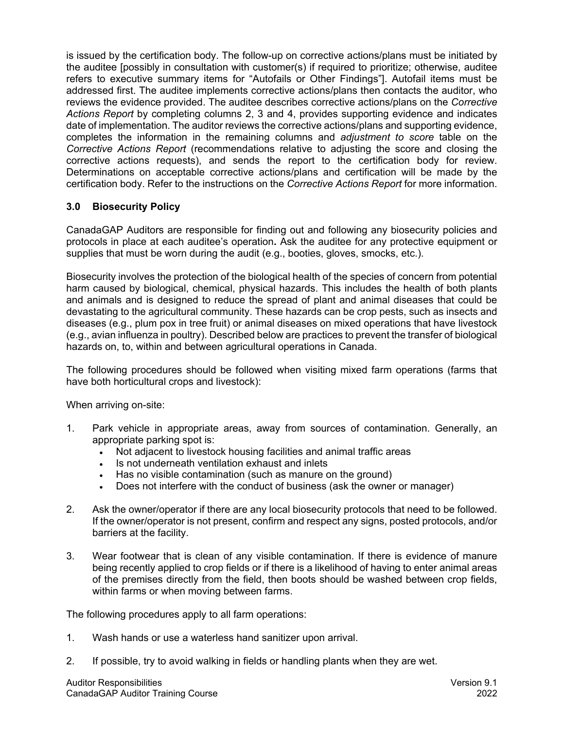is issued by the certification body. The follow-up on corrective actions/plans must be initiated by the auditee [possibly in consultation with customer(s) if required to prioritize; otherwise, auditee refers to executive summary items for "Autofails or Other Findings"]. Autofail items must be addressed first. The auditee implements corrective actions/plans then contacts the auditor, who reviews the evidence provided. The auditee describes corrective actions/plans on the *Corrective Actions Report* by completing columns 2, 3 and 4, provides supporting evidence and indicates date of implementation. The auditor reviews the corrective actions/plans and supporting evidence, completes the information in the remaining columns and *adjustment to score* table on the *Corrective Actions Report* (recommendations relative to adjusting the score and closing the corrective actions requests), and sends the report to the certification body for review. Determinations on acceptable corrective actions/plans and certification will be made by the certification body. Refer to the instructions on the *Corrective Actions Report* for more information.

## **3.0 Biosecurity Policy**

CanadaGAP Auditors are responsible for finding out and following any biosecurity policies and protocols in place at each auditee's operation**.** Ask the auditee for any protective equipment or supplies that must be worn during the audit (e.g., booties, gloves, smocks, etc.).

Biosecurity involves the protection of the biological health of the species of concern from potential harm caused by biological, chemical, physical hazards. This includes the health of both plants and animals and is designed to reduce the spread of plant and animal diseases that could be devastating to the agricultural community. These hazards can be crop pests, such as insects and diseases (e.g., plum pox in tree fruit) or animal diseases on mixed operations that have livestock (e.g., avian influenza in poultry). Described below are practices to prevent the transfer of biological hazards on, to, within and between agricultural operations in Canada.

The following procedures should be followed when visiting mixed farm operations (farms that have both horticultural crops and livestock):

When arriving on-site:

- 1. Park vehicle in appropriate areas, away from sources of contamination. Generally, an appropriate parking spot is:
	- Not adjacent to livestock housing facilities and animal traffic areas
	- Is not underneath ventilation exhaust and inlets
	- Has no visible contamination (such as manure on the ground)
	- Does not interfere with the conduct of business (ask the owner or manager)
- 2. Ask the owner/operator if there are any local biosecurity protocols that need to be followed. If the owner/operator is not present, confirm and respect any signs, posted protocols, and/or barriers at the facility.
- 3. Wear footwear that is clean of any visible contamination. If there is evidence of manure being recently applied to crop fields or if there is a likelihood of having to enter animal areas of the premises directly from the field, then boots should be washed between crop fields, within farms or when moving between farms.

The following procedures apply to all farm operations:

- 1. Wash hands or use a waterless hand sanitizer upon arrival.
- 2. If possible, try to avoid walking in fields or handling plants when they are wet.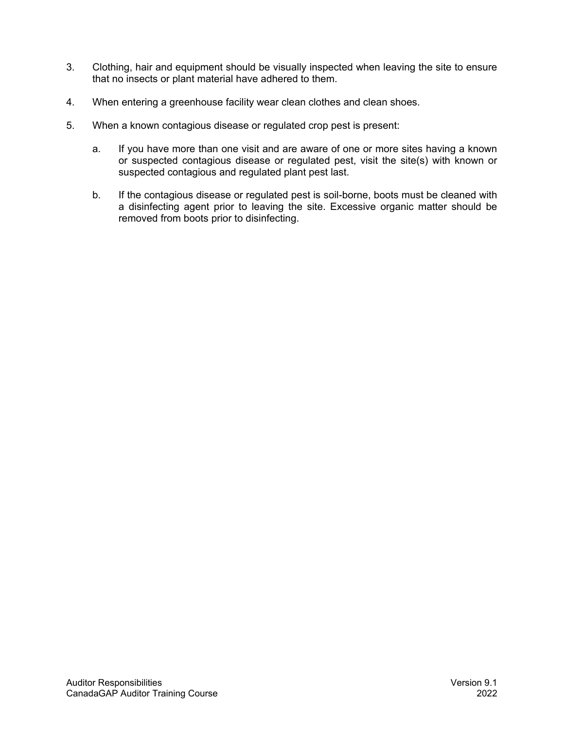- 3. Clothing, hair and equipment should be visually inspected when leaving the site to ensure that no insects or plant material have adhered to them.
- 4. When entering a greenhouse facility wear clean clothes and clean shoes.
- 5. When a known contagious disease or regulated crop pest is present:
	- a. If you have more than one visit and are aware of one or more sites having a known or suspected contagious disease or regulated pest, visit the site(s) with known or suspected contagious and regulated plant pest last.
	- b. If the contagious disease or regulated pest is soil-borne, boots must be cleaned with a disinfecting agent prior to leaving the site. Excessive organic matter should be removed from boots prior to disinfecting.